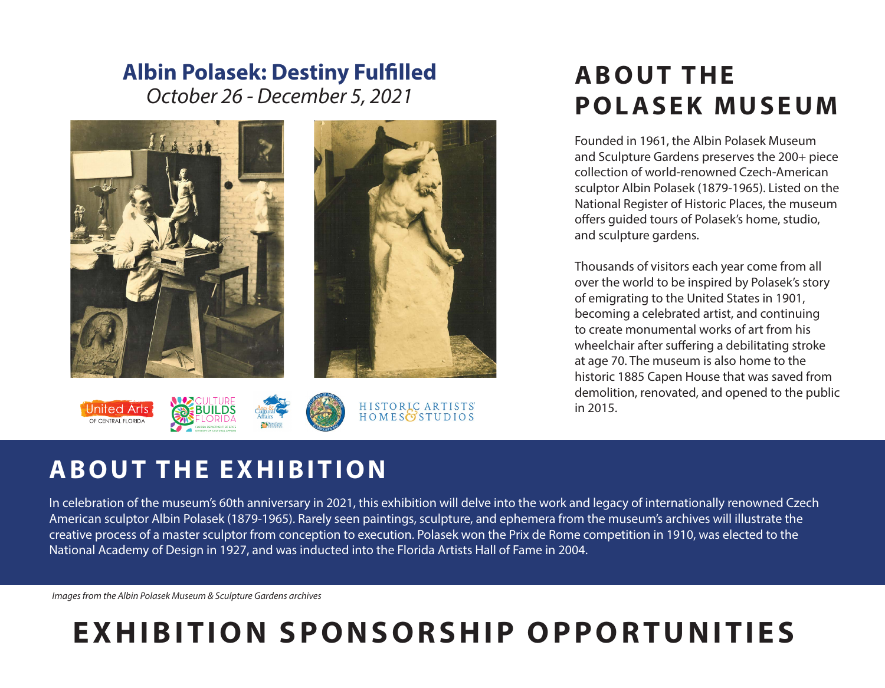## *October 26 - December 5, 2021* **Albin Polasek: Destiny Fulfilled**



# **A B O U T T H E POLASEK MUSEUM**

Founded in 1961, the Albin Polasek Museum and Sculpture Gardens preserves the 200+ piece collection of world-renowned Czech-American sculptor Albin Polasek (1879-1965). Listed on the National Register of Historic Places, the museum offers guided tours of Polasek's home, studio, and sculpture gardens.

Thousands of visitors each year come from all over the world to be inspired by Polasek's story of emigrating to the United States in 1901, becoming a celebrated artist, and continuing to create monumental works of art from his wheelchair after suffering a debilitating stroke at age 70. The museum is also home to the historic 1885 Capen House that was saved from demolition, renovated, and opened to the public in 2015.

## **ABOUT THE EXHIBITION**

In celebration of the museum's 60th anniversary in 2021, this exhibition will delve into the work and legacy of internationally renowned Czech American sculptor Albin Polasek (1879-1965). Rarely seen paintings, sculpture, and ephemera from the museum's archives will illustrate the creative process of a master sculptor from conception to execution. Polasek won the Prix de Rome competition in 1910, was elected to the National Academy of Design in 1927, and was inducted into the Florida Artists Hall of Fame in 2004.

*Images from the Albin Polasek Museum & Sculpture Gardens archives*

# **EXHIBITION SPONSORSHIP OPPORTUNITIES**